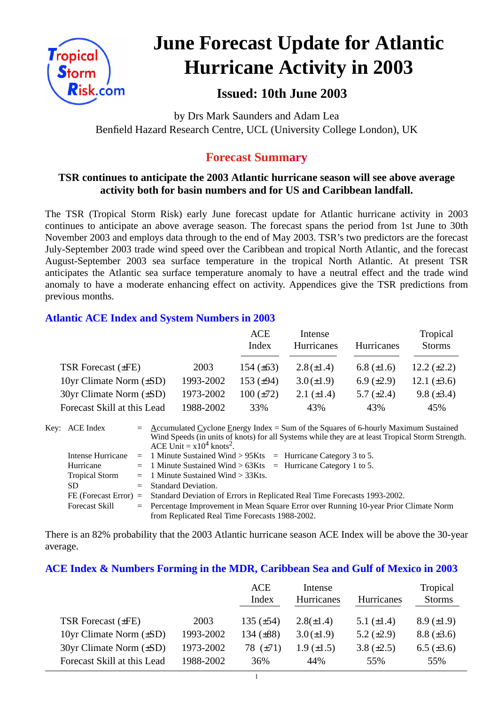

# **June Forecast Update for Atlantic Hurricane Activity in 2003**

## **Issued: 10th June 2003**

by Drs Mark Saunders and Adam Lea Benfield Hazard Research Centre, UCL (University College London), UK

## **Forecast Summary**

## **TSR continues to anticipate the 2003 Atlantic hurricane season will see above average activity both for basin numbers and for US and Caribbean landfall.**

The TSR (Tropical Storm Risk) early June forecast update for Atlantic hurricane activity in 2003 continues to anticipate an above average season. The forecast spans the period from 1st June to 30th November 2003 and employs data through to the end of May 2003. TSR's two predictors are the forecast July-September 2003 trade wind speed over the Caribbean and tropical North Atlantic, and the forecast August-September 2003 sea surface temperature in the tropical North Atlantic. At present TSR anticipates the Atlantic sea surface temperature anomaly to have a neutral effect and the trade wind anomaly to have a moderate enhancing effect on activity. Appendices give the TSR predictions from previous months.

## **Atlantic ACE Index and System Numbers in 2003**

|                                |           | ACE<br>Index   | Intense<br>Hurricanes | Hurricanes      | Tropical<br><b>Storms</b> |
|--------------------------------|-----------|----------------|-----------------------|-----------------|---------------------------|
| TSR Forecast (±FE)             | 2003      | 154 $(\pm 63)$ | $2.8(\pm 1.4)$        | 6.8 $(\pm 1.6)$ | 12.2 $(\pm 2.2)$          |
| 10yr Climate Norm $(\pm SD)$   | 1993-2002 | 153 $(\pm 94)$ | $3.0 (\pm 1.9)$       | 6.9 $(\pm 2.9)$ | 12.1 $(\pm 3.6)$          |
| $30yr$ Climate Norm $(\pm SD)$ | 1973-2002 | $100 (\pm 72)$ | 2.1 $(\pm 1.4)$       | 5.7 $(\pm 2.4)$ | 9.8 $(\pm 3.4)$           |
| Forecast Skill at this Lead    | 1988-2002 | 33%            | 43%                   | 43%             | 45%                       |

| Key: ACE Index        | $=$ Accumulated Cyclone Energy Index = Sum of the Squares of 6-hourly Maximum Sustained          |
|-----------------------|--------------------------------------------------------------------------------------------------|
|                       |                                                                                                  |
|                       | Wind Speeds (in units of knots) for all Systems while they are at least Tropical Storm Strength. |
|                       | ACE Unit = $x10^4$ knots <sup>2</sup> .                                                          |
| Intense Hurricane     | $=$ 1 Minute Sustained Wind > 95Kts $=$ Hurricane Category 3 to 5.                               |
| Hurricane             | $=$ 1 Minute Sustained Wind > 63Kts $=$ Hurricane Category 1 to 5.                               |
| <b>Tropical Storm</b> | $=$ 1 Minute Sustained Wind $>$ 33Kts.                                                           |
| <b>SD</b>             | $=$ Standard Deviation.                                                                          |
|                       | FE (Forecast Error) = Standard Deviation of Errors in Replicated Real Time Forecasts 1993-2002.  |
| <b>Forecast Skill</b> | = Percentage Improvement in Mean Square Error over Running 10-year Prior Climate Norm            |
|                       | from Replicated Real Time Forecasts 1988-2002.                                                   |

There is an 82% probability that the 2003 Atlantic hurricane season ACE Index will be above the 30-year average.

#### **ACE Index & Numbers Forming in the MDR, Caribbean Sea and Gulf of Mexico in 2003**

|                              |           | ACE<br>Index   | Intense<br>Hurricanes | <b>Hurricanes</b> | Tropical<br><b>Storms</b> |
|------------------------------|-----------|----------------|-----------------------|-------------------|---------------------------|
| TSR Forecast $(\pm FE)$      | 2003      | 135 $(\pm 54)$ | $2.8(\pm 1.4)$        | 5.1 $(\pm 1.4)$   | $8.9 \ (\pm 1.9)$         |
| 10yr Climate Norm $(\pm SD)$ | 1993-2002 | 134 $(\pm 88)$ | $3.0 (\pm 1.9)$       | 5.2 $(\pm 2.9)$   | $8.8 (\pm 3.6)$           |
| 30yr Climate Norm (±SD)      | 1973-2002 | 78 (±71)       | $1.9 \ (\pm 1.5)$     | 3.8 $(\pm 2.5)$   | 6.5 $(\pm 3.6)$           |
| Forecast Skill at this Lead  | 1988-2002 | 36%            | 44%                   | 55%               | 55%                       |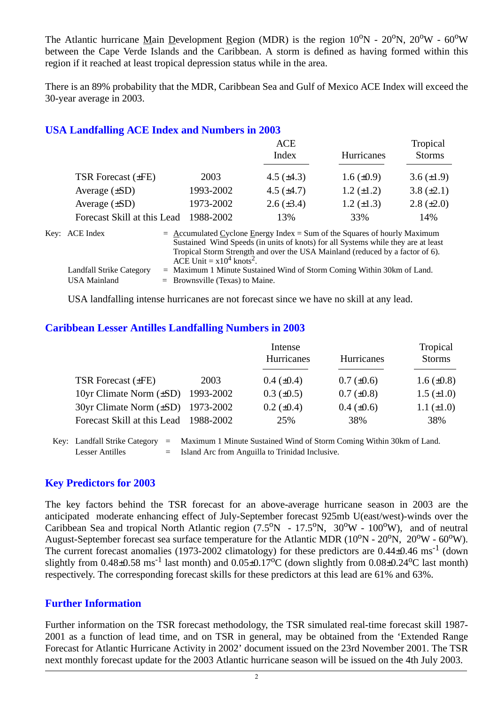The Atlantic hurricane Main Development Region (MDR) is the region  $10^{\circ}N - 20^{\circ}N$ ,  $20^{\circ}W - 60^{\circ}W$ between the Cape Verde Islands and the Caribbean. A storm is defined as having formed within this region if it reached at least tropical depression status while in the area.

There is an 89% probability that the MDR, Caribbean Sea and Gulf of Mexico ACE Index will exceed the 30-year average in 2003.

#### **USA Landfalling ACE Index and Numbers in 2003**

|           | <b>ACE</b><br>Index | <b>Hurricanes</b> | Tropical<br><b>Storms</b> |
|-----------|---------------------|-------------------|---------------------------|
| 2003      | 4.5 $(\pm 4.3)$     | $1.6 \ (\pm 0.9)$ | 3.6 $(\pm 1.9)$           |
| 1993-2002 | 4.5 $(\pm 4.7)$     | $1.2 \ (\pm 1.2)$ | 3.8 $(\pm 2.1)$           |
| 1973-2002 | $2.6 (\pm 3.4)$     | $1.2 \ (\pm 1.3)$ | $2.8 (\pm 2.0)$           |
| 1988-2002 | 13%                 | 33%               | 14%                       |
|           |                     |                   |                           |

| Key: ACE Index                  | $=$ Accumulated Cyclone Energy Index $=$ Sum of the Squares of hourly Maximum                                            |
|---------------------------------|--------------------------------------------------------------------------------------------------------------------------|
|                                 | Sustained Wind Speeds (in units of knots) for all Systems while they are at least                                        |
|                                 | Tropical Storm Strength and over the USA Mainland (reduced by a factor of 6).<br>ACE Unit = $x10^4$ knots <sup>2</sup> . |
| <b>Landfall Strike Category</b> | $=$ Maximum 1 Minute Sustained Wind of Storm Coming Within 30km of Land.                                                 |
| USA Mainland                    | $=$ Brownsville (Texas) to Maine.                                                                                        |

USA landfalling intense hurricanes are not forecast since we have no skill at any lead.

#### **Caribbean Lesser Antilles Landfalling Numbers in 2003**

|                                        |      | Intense           | Tropical          |                   |
|----------------------------------------|------|-------------------|-------------------|-------------------|
|                                        |      | Hurricanes        | Hurricanes        | <b>Storms</b>     |
| TSR Forecast $(\pm FE)$                | 2003 | $0.4~(\pm 0.4)$   | $0.7 (\pm 0.6)$   | $1.6 \ (\pm 0.8)$ |
| 10yr Climate Norm $(\pm SD)$ 1993-2002 |      | $0.3 \ (\pm 0.5)$ | $0.7 (\pm 0.8)$   | $1.5 \ (\pm 1.0)$ |
| 30yr Climate Norm (±SD) 1973-2002      |      | $0.2 \ (\pm 0.4)$ | $0.4 \ (\pm 0.6)$ | $1.1 (\pm 1.0)$   |
| Forecast Skill at this Lead 1988-2002  |      | 25%               | 38%               | 38%               |

Key: Landfall Strike Category = Maximum 1 Minute Sustained Wind of Storm Coming Within 30km of Land. Lesser Antilles = Island Arc from Anguilla to Trinidad Inclusive.

#### **Key Predictors for 2003**

The key factors behind the TSR forecast for an above-average hurricane season in 2003 are the anticipated moderate enhancing effect of July-September forecast 925mb U(east/west)-winds over the Caribbean Sea and tropical North Atlantic region  $(7.5^{\circ}N - 17.5^{\circ}N, 30^{\circ}W - 100^{\circ}W)$ , and of neutral August-September forecast sea surface temperature for the Atlantic MDR (10<sup>o</sup>N - 20<sup>o</sup>N, 20<sup>o</sup>W - 60<sup>o</sup>W). The current forecast anomalies (1973-2002 climatology) for these predictors are  $0.44\pm0.46$  ms<sup>-1</sup> (down slightly from  $0.48\pm0.58$  ms<sup>-1</sup> last month) and  $0.05\pm0.17^{\circ}$ C (down slightly from  $0.08\pm0.24^{\circ}$ C last month) respectively. The corresponding forecast skills for these predictors at this lead are 61% and 63%.

## **Further Information**

Further information on the TSR forecast methodology, the TSR simulated real-time forecast skill 1987- 2001 as a function of lead time, and on TSR in general, may be obtained from the 'Extended Range Forecast for Atlantic Hurricane Activity in 2002' document issued on the 23rd November 2001. The TSR next monthly forecast update for the 2003 Atlantic hurricane season will be issued on the 4th July 2003.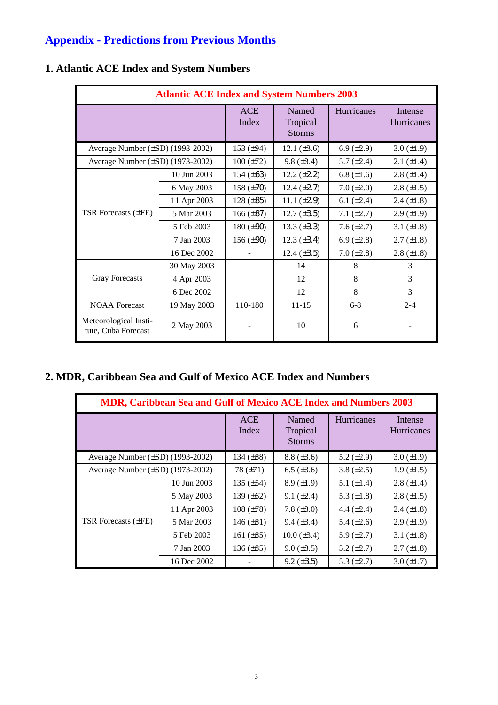# **Appendix - Predictions from Previous Months**

| <b>Atlantic ACE Index and System Numbers 2003</b> |             |                     |                                    |                 |                       |  |
|---------------------------------------------------|-------------|---------------------|------------------------------------|-----------------|-----------------------|--|
|                                                   |             | <b>ACE</b><br>Index | Named<br>Tropical<br><b>Storms</b> | Hurricanes      | Intense<br>Hurricanes |  |
| Average Number (±SD) (1993-2002)                  |             | 153 $(\pm 94)$      | 12.1 $(\pm 3.6)$                   | 6.9 $(\pm 2.9)$ | $3.0 (\pm 1.9)$       |  |
| Average Number $(\pm SD)$ (1973-2002)             |             | $100 (\pm 72)$      | $9.8 (\pm 3.4)$                    | 5.7 $(\pm 2.4)$ | $2.1 (\pm 1.4)$       |  |
|                                                   | 10 Jun 2003 | 154 $(\pm 63)$      | $12.2 \ (\pm 2.2)$                 | 6.8 $(\pm 1.6)$ | $2.8 \ (\pm 1.4)$     |  |
|                                                   | 6 May 2003  | 158 $(\pm 70)$      | $12.4 \ (\pm 2.7)$                 | $7.0 (\pm 2.0)$ | $2.8 (\pm 1.5)$       |  |
| TSR Forecasts (±FE)                               | 11 Apr 2003 | $128 (\pm 85)$      | 11.1 $(\pm 2.9)$                   | 6.1 $(\pm 2.4)$ | $2.4 (\pm 1.8)$       |  |
|                                                   | 5 Mar 2003  | $166 (\pm 87)$      | $12.7 (\pm 3.5)$                   | $7.1 (\pm 2.7)$ | $2.9 \ (\pm 1.9)$     |  |
|                                                   | 5 Feb 2003  | $180 (\pm 90)$      | 13.3 $(\pm 3.3)$                   | $7.6 (\pm 2.7)$ | 3.1 $(\pm 1.8)$       |  |
|                                                   | 7 Jan 2003  | 156 $(\pm 90)$      | $12.3 \ (\pm 3.4)$                 | 6.9 $(\pm 2.8)$ | $2.7 (\pm 1.8)$       |  |
|                                                   | 16 Dec 2002 |                     | 12.4 $(\pm 3.5)$                   | $7.0 (\pm 2.8)$ | $2.8 (\pm 1.8)$       |  |
|                                                   | 30 May 2003 |                     | 14                                 | 8               | 3                     |  |
| <b>Gray Forecasts</b>                             | 4 Apr 2003  |                     | 12                                 | 8               | 3                     |  |
|                                                   | 6 Dec 2002  |                     | 12                                 | 8               | 3                     |  |
| <b>NOAA</b> Forecast                              | 19 May 2003 | 110-180             | $11 - 15$                          | $6 - 8$         | $2 - 4$               |  |
| Meteorological Insti-<br>tute, Cuba Forecast      | 2 May 2003  |                     | 10                                 | 6               |                       |  |

## **1. Atlantic ACE Index and System Numbers**

## **2. MDR, Caribbean Sea and Gulf of Mexico ACE Index and Numbers**

| <b>MDR, Caribbean Sea and Gulf of Mexico ACE Index and Numbers 2003</b> |             |                     |                                    |                   |                       |  |  |
|-------------------------------------------------------------------------|-------------|---------------------|------------------------------------|-------------------|-----------------------|--|--|
|                                                                         |             | <b>ACE</b><br>Index | Named<br>Tropical<br><b>Storms</b> | <b>Hurricanes</b> | Intense<br>Hurricanes |  |  |
| Average Number (±SD) (1993-2002)                                        |             | 134 $(\pm 88)$      | $8.8 (\pm 3.6)$                    | $5.2 \ (\pm 2.9)$ | $3.0 (\pm 1.9)$       |  |  |
| Average Number $(\pm SD)$ (1973-2002)                                   |             | $78 (\pm 71)$       | $6.5 \ (\pm 3.6)$                  | 3.8 $(\pm 2.5)$   | $1.9 \ (\pm 1.5)$     |  |  |
| <b>TSR Forecasts (±FE)</b>                                              | 10 Jun 2003 | 135 $(\pm 54)$      | $8.9 \ (\pm 1.9)$                  | 5.1 $(\pm 1.4)$   | $2.8 (\pm 1.4)$       |  |  |
|                                                                         | 5 May 2003  | 139 $(\pm 62)$      | $9.1 (\pm 2.4)$                    | 5.3 $(\pm 1.8)$   | $2.8 (\pm 1.5)$       |  |  |
|                                                                         | 11 Apr 2003 | $108 (\pm 78)$      | 7.8 $(\pm 3.0)$                    | 4.4 $(\pm 2.4)$   | $2.4 \ (\pm 1.8)$     |  |  |
|                                                                         | 5 Mar 2003  | 146 $(\pm 81)$      | $9.4 \ (\pm 3.4)$                  | $5.4 \ (\pm 2.6)$ | $2.9 \ (\pm 1.9)$     |  |  |
|                                                                         | 5 Feb 2003  | 161 $(\pm 85)$      | $10.0 (\pm 3.4)$                   | 5.9 $(\pm 2.7)$   | 3.1 $(\pm 1.8)$       |  |  |
|                                                                         | 7 Jan 2003  | $136 (\pm 85)$      | $9.0 (\pm 3.5)$                    | 5.2 $(\pm 2.7)$   | $2.7 (\pm 1.8)$       |  |  |
|                                                                         | 16 Dec 2002 |                     | $9.2 \ (\pm 3.5)$                  | 5.3 $(\pm 2.7)$   | $3.0 (\pm 1.7)$       |  |  |